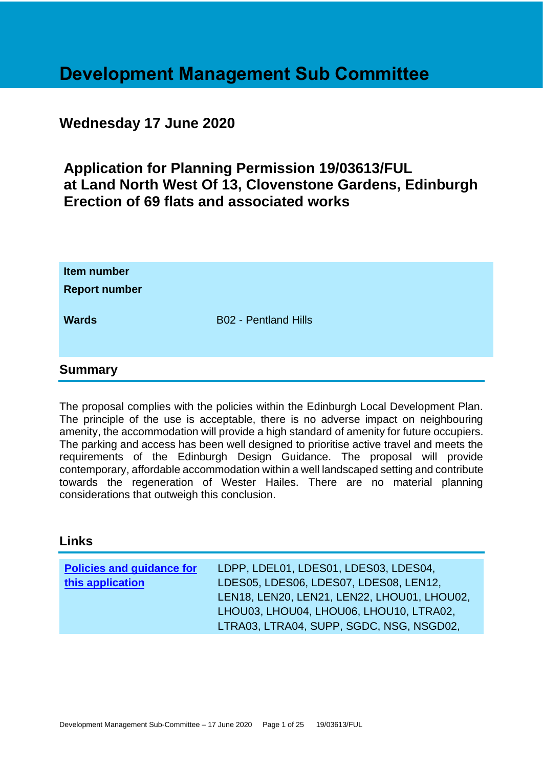# **Development Management Sub Committee**

# **Wednesday 17 June 2020**

# **Application for Planning Permission 19/03613/FUL at Land North West Of 13, Clovenstone Gardens, Edinburgh Erection of 69 flats and associated works**

| Item number<br><b>Report number</b> |                             |
|-------------------------------------|-----------------------------|
| <b>Wards</b>                        | <b>B02 - Pentland Hills</b> |
| <b>Summary</b>                      |                             |

The proposal complies with the policies within the Edinburgh Local Development Plan. The principle of the use is acceptable, there is no adverse impact on neighbouring amenity, the accommodation will provide a high standard of amenity for future occupiers. The parking and access has been well designed to prioritise active travel and meets the requirements of the Edinburgh Design Guidance. The proposal will provide contemporary, affordable accommodation within a well landscaped setting and contribute towards the regeneration of Wester Hailes. There are no material planning considerations that outweigh this conclusion.

# **Links**

| <b>Policies and guidance for</b><br>this application | LDPP, LDEL01, LDES01, LDES03, LDES04,<br>LDES05, LDES06, LDES07, LDES08, LEN12,<br>LEN18, LEN20, LEN21, LEN22, LHOU01, LHOU02,<br>LHOU03, LHOU04, LHOU06, LHOU10, LTRA02, |
|------------------------------------------------------|---------------------------------------------------------------------------------------------------------------------------------------------------------------------------|
|                                                      | LTRA03, LTRA04, SUPP, SGDC, NSG, NSGD02,                                                                                                                                  |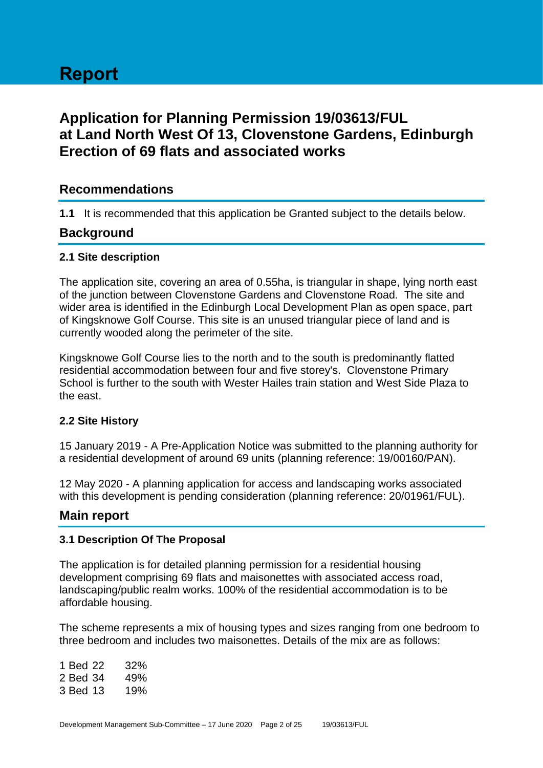# **Report**

# **Application for Planning Permission 19/03613/FUL at Land North West Of 13, Clovenstone Gardens, Edinburgh Erection of 69 flats and associated works**

# **Recommendations**

**1.1** It is recommended that this application be Granted subject to the details below.

# **Background**

#### **2.1 Site description**

The application site, covering an area of 0.55ha, is triangular in shape, lying north east of the junction between Clovenstone Gardens and Clovenstone Road. The site and wider area is identified in the Edinburgh Local Development Plan as open space, part of Kingsknowe Golf Course. This site is an unused triangular piece of land and is currently wooded along the perimeter of the site.

Kingsknowe Golf Course lies to the north and to the south is predominantly flatted residential accommodation between four and five storey's. Clovenstone Primary School is further to the south with Wester Hailes train station and West Side Plaza to the east.

# **2.2 Site History**

15 January 2019 - A Pre-Application Notice was submitted to the planning authority for a residential development of around 69 units (planning reference: 19/00160/PAN).

12 May 2020 - A planning application for access and landscaping works associated with this development is pending consideration (planning reference: 20/01961/FUL).

# **Main report**

# **3.1 Description Of The Proposal**

The application is for detailed planning permission for a residential housing development comprising 69 flats and maisonettes with associated access road, landscaping/public realm works. 100% of the residential accommodation is to be affordable housing.

The scheme represents a mix of housing types and sizes ranging from one bedroom to three bedroom and includes two maisonettes. Details of the mix are as follows:

1 Bed 22 32% 2 Bed 34 49% 3 Bed 13 19%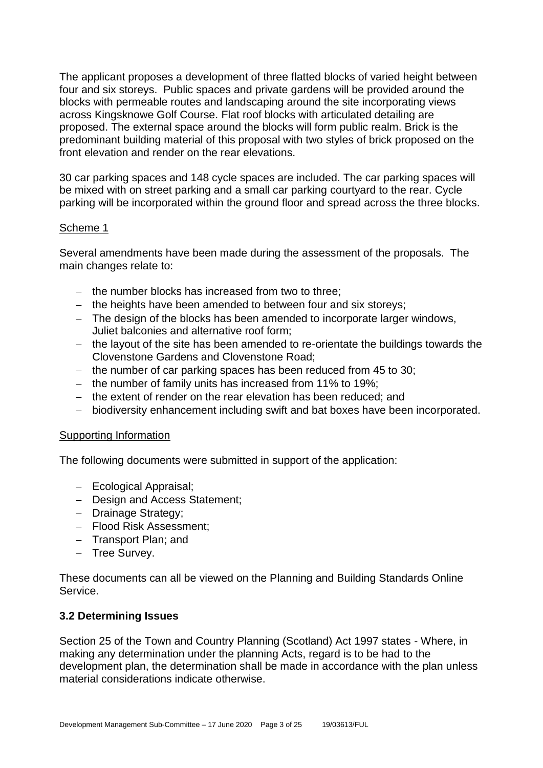The applicant proposes a development of three flatted blocks of varied height between four and six storeys. Public spaces and private gardens will be provided around the blocks with permeable routes and landscaping around the site incorporating views across Kingsknowe Golf Course. Flat roof blocks with articulated detailing are proposed. The external space around the blocks will form public realm. Brick is the predominant building material of this proposal with two styles of brick proposed on the front elevation and render on the rear elevations.

30 car parking spaces and 148 cycle spaces are included. The car parking spaces will be mixed with on street parking and a small car parking courtyard to the rear. Cycle parking will be incorporated within the ground floor and spread across the three blocks.

# Scheme 1

Several amendments have been made during the assessment of the proposals. The main changes relate to:

- − the number blocks has increased from two to three;
- − the heights have been amended to between four and six storeys;
- − The design of the blocks has been amended to incorporate larger windows, Juliet balconies and alternative roof form;
- − the layout of the site has been amended to re-orientate the buildings towards the Clovenstone Gardens and Clovenstone Road;
- − the number of car parking spaces has been reduced from 45 to 30;
- − the number of family units has increased from 11% to 19%;
- − the extent of render on the rear elevation has been reduced; and
- − biodiversity enhancement including swift and bat boxes have been incorporated.

#### Supporting Information

The following documents were submitted in support of the application:

- − Ecological Appraisal;
- − Design and Access Statement;
- − Drainage Strategy;
- − Flood Risk Assessment;
- − Transport Plan; and
- − Tree Survey.

These documents can all be viewed on the Planning and Building Standards Online Service.

#### **3.2 Determining Issues**

Section 25 of the Town and Country Planning (Scotland) Act 1997 states - Where, in making any determination under the planning Acts, regard is to be had to the development plan, the determination shall be made in accordance with the plan unless material considerations indicate otherwise.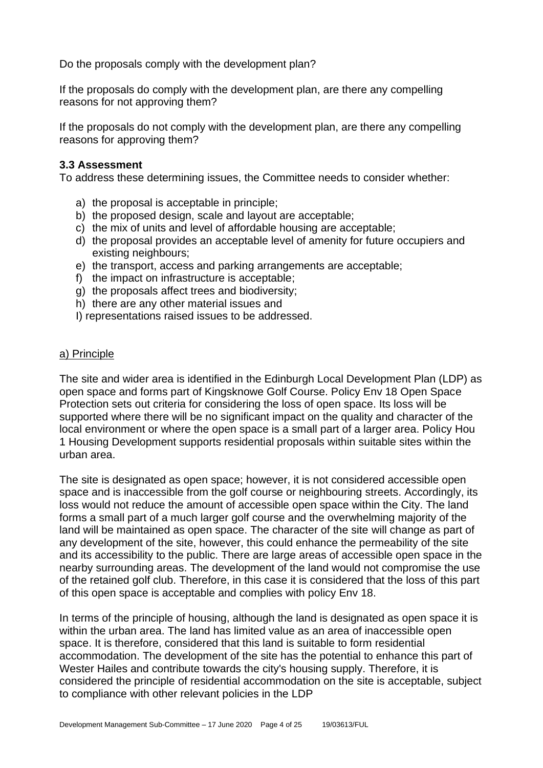Do the proposals comply with the development plan?

If the proposals do comply with the development plan, are there any compelling reasons for not approving them?

If the proposals do not comply with the development plan, are there any compelling reasons for approving them?

#### **3.3 Assessment**

To address these determining issues, the Committee needs to consider whether:

- a) the proposal is acceptable in principle;
- b) the proposed design, scale and layout are acceptable;
- c) the mix of units and level of affordable housing are acceptable;
- d) the proposal provides an acceptable level of amenity for future occupiers and existing neighbours;
- e) the transport, access and parking arrangements are acceptable;
- f) the impact on infrastructure is acceptable;
- g) the proposals affect trees and biodiversity;
- h) there are any other material issues and
- I) representations raised issues to be addressed.

#### a) Principle

The site and wider area is identified in the Edinburgh Local Development Plan (LDP) as open space and forms part of Kingsknowe Golf Course. Policy Env 18 Open Space Protection sets out criteria for considering the loss of open space. Its loss will be supported where there will be no significant impact on the quality and character of the local environment or where the open space is a small part of a larger area. Policy Hou 1 Housing Development supports residential proposals within suitable sites within the urban area.

The site is designated as open space; however, it is not considered accessible open space and is inaccessible from the golf course or neighbouring streets. Accordingly, its loss would not reduce the amount of accessible open space within the City. The land forms a small part of a much larger golf course and the overwhelming majority of the land will be maintained as open space. The character of the site will change as part of any development of the site, however, this could enhance the permeability of the site and its accessibility to the public. There are large areas of accessible open space in the nearby surrounding areas. The development of the land would not compromise the use of the retained golf club. Therefore, in this case it is considered that the loss of this part of this open space is acceptable and complies with policy Env 18.

In terms of the principle of housing, although the land is designated as open space it is within the urban area. The land has limited value as an area of inaccessible open space. It is therefore, considered that this land is suitable to form residential accommodation. The development of the site has the potential to enhance this part of Wester Hailes and contribute towards the city's housing supply. Therefore, it is considered the principle of residential accommodation on the site is acceptable, subject to compliance with other relevant policies in the LDP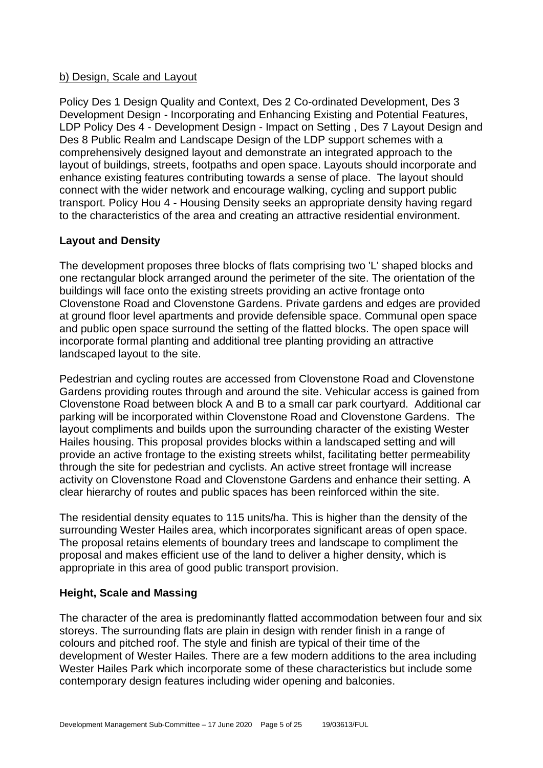# b) Design, Scale and Layout

Policy Des 1 Design Quality and Context, Des 2 Co-ordinated Development, Des 3 Development Design - Incorporating and Enhancing Existing and Potential Features, LDP Policy Des 4 - Development Design - Impact on Setting , Des 7 Layout Design and Des 8 Public Realm and Landscape Design of the LDP support schemes with a comprehensively designed layout and demonstrate an integrated approach to the layout of buildings, streets, footpaths and open space. Layouts should incorporate and enhance existing features contributing towards a sense of place. The layout should connect with the wider network and encourage walking, cycling and support public transport. Policy Hou 4 - Housing Density seeks an appropriate density having regard to the characteristics of the area and creating an attractive residential environment.

#### **Layout and Density**

The development proposes three blocks of flats comprising two 'L' shaped blocks and one rectangular block arranged around the perimeter of the site. The orientation of the buildings will face onto the existing streets providing an active frontage onto Clovenstone Road and Clovenstone Gardens. Private gardens and edges are provided at ground floor level apartments and provide defensible space. Communal open space and public open space surround the setting of the flatted blocks. The open space will incorporate formal planting and additional tree planting providing an attractive landscaped layout to the site.

Pedestrian and cycling routes are accessed from Clovenstone Road and Clovenstone Gardens providing routes through and around the site. Vehicular access is gained from Clovenstone Road between block A and B to a small car park courtyard. Additional car parking will be incorporated within Clovenstone Road and Clovenstone Gardens. The layout compliments and builds upon the surrounding character of the existing Wester Hailes housing. This proposal provides blocks within a landscaped setting and will provide an active frontage to the existing streets whilst, facilitating better permeability through the site for pedestrian and cyclists. An active street frontage will increase activity on Clovenstone Road and Clovenstone Gardens and enhance their setting. A clear hierarchy of routes and public spaces has been reinforced within the site.

The residential density equates to 115 units/ha. This is higher than the density of the surrounding Wester Hailes area, which incorporates significant areas of open space. The proposal retains elements of boundary trees and landscape to compliment the proposal and makes efficient use of the land to deliver a higher density, which is appropriate in this area of good public transport provision.

# **Height, Scale and Massing**

The character of the area is predominantly flatted accommodation between four and six storeys. The surrounding flats are plain in design with render finish in a range of colours and pitched roof. The style and finish are typical of their time of the development of Wester Hailes. There are a few modern additions to the area including Wester Hailes Park which incorporate some of these characteristics but include some contemporary design features including wider opening and balconies.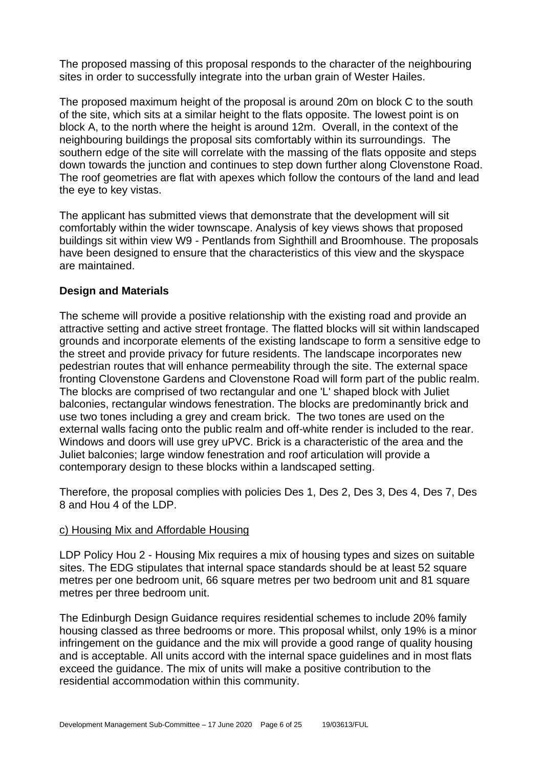The proposed massing of this proposal responds to the character of the neighbouring sites in order to successfully integrate into the urban grain of Wester Hailes.

The proposed maximum height of the proposal is around 20m on block C to the south of the site, which sits at a similar height to the flats opposite. The lowest point is on block A, to the north where the height is around 12m. Overall, in the context of the neighbouring buildings the proposal sits comfortably within its surroundings. The southern edge of the site will correlate with the massing of the flats opposite and steps down towards the junction and continues to step down further along Clovenstone Road. The roof geometries are flat with apexes which follow the contours of the land and lead the eye to key vistas.

The applicant has submitted views that demonstrate that the development will sit comfortably within the wider townscape. Analysis of key views shows that proposed buildings sit within view W9 - Pentlands from Sighthill and Broomhouse. The proposals have been designed to ensure that the characteristics of this view and the skyspace are maintained.

# **Design and Materials**

The scheme will provide a positive relationship with the existing road and provide an attractive setting and active street frontage. The flatted blocks will sit within landscaped grounds and incorporate elements of the existing landscape to form a sensitive edge to the street and provide privacy for future residents. The landscape incorporates new pedestrian routes that will enhance permeability through the site. The external space fronting Clovenstone Gardens and Clovenstone Road will form part of the public realm. The blocks are comprised of two rectangular and one 'L' shaped block with Juliet balconies, rectangular windows fenestration. The blocks are predominantly brick and use two tones including a grey and cream brick. The two tones are used on the external walls facing onto the public realm and off-white render is included to the rear. Windows and doors will use grey uPVC. Brick is a characteristic of the area and the Juliet balconies; large window fenestration and roof articulation will provide a contemporary design to these blocks within a landscaped setting.

Therefore, the proposal complies with policies Des 1, Des 2, Des 3, Des 4, Des 7, Des 8 and Hou 4 of the LDP.

#### c) Housing Mix and Affordable Housing

LDP Policy Hou 2 - Housing Mix requires a mix of housing types and sizes on suitable sites. The EDG stipulates that internal space standards should be at least 52 square metres per one bedroom unit, 66 square metres per two bedroom unit and 81 square metres per three bedroom unit.

The Edinburgh Design Guidance requires residential schemes to include 20% family housing classed as three bedrooms or more. This proposal whilst, only 19% is a minor infringement on the guidance and the mix will provide a good range of quality housing and is acceptable. All units accord with the internal space guidelines and in most flats exceed the guidance. The mix of units will make a positive contribution to the residential accommodation within this community.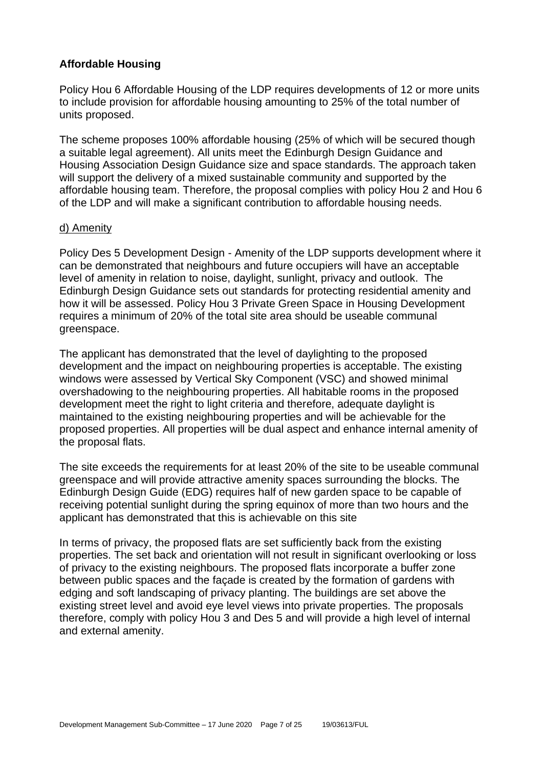# **Affordable Housing**

Policy Hou 6 Affordable Housing of the LDP requires developments of 12 or more units to include provision for affordable housing amounting to 25% of the total number of units proposed.

The scheme proposes 100% affordable housing (25% of which will be secured though a suitable legal agreement). All units meet the Edinburgh Design Guidance and Housing Association Design Guidance size and space standards. The approach taken will support the delivery of a mixed sustainable community and supported by the affordable housing team. Therefore, the proposal complies with policy Hou 2 and Hou 6 of the LDP and will make a significant contribution to affordable housing needs.

#### d) Amenity

Policy Des 5 Development Design - Amenity of the LDP supports development where it can be demonstrated that neighbours and future occupiers will have an acceptable level of amenity in relation to noise, daylight, sunlight, privacy and outlook. The Edinburgh Design Guidance sets out standards for protecting residential amenity and how it will be assessed. Policy Hou 3 Private Green Space in Housing Development requires a minimum of 20% of the total site area should be useable communal greenspace.

The applicant has demonstrated that the level of daylighting to the proposed development and the impact on neighbouring properties is acceptable. The existing windows were assessed by Vertical Sky Component (VSC) and showed minimal overshadowing to the neighbouring properties. All habitable rooms in the proposed development meet the right to light criteria and therefore, adequate daylight is maintained to the existing neighbouring properties and will be achievable for the proposed properties. All properties will be dual aspect and enhance internal amenity of the proposal flats.

The site exceeds the requirements for at least 20% of the site to be useable communal greenspace and will provide attractive amenity spaces surrounding the blocks. The Edinburgh Design Guide (EDG) requires half of new garden space to be capable of receiving potential sunlight during the spring equinox of more than two hours and the applicant has demonstrated that this is achievable on this site

In terms of privacy, the proposed flats are set sufficiently back from the existing properties. The set back and orientation will not result in significant overlooking or loss of privacy to the existing neighbours. The proposed flats incorporate a buffer zone between public spaces and the façade is created by the formation of gardens with edging and soft landscaping of privacy planting. The buildings are set above the existing street level and avoid eye level views into private properties. The proposals therefore, comply with policy Hou 3 and Des 5 and will provide a high level of internal and external amenity.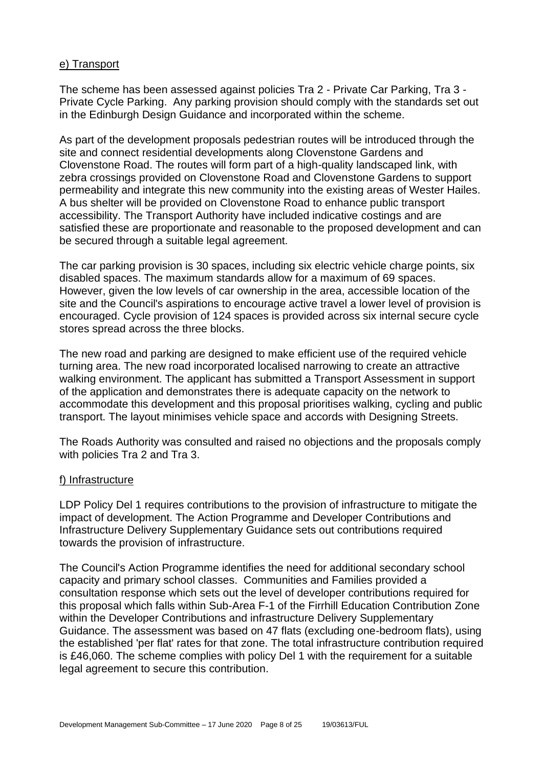#### e) Transport

The scheme has been assessed against policies Tra 2 - Private Car Parking, Tra 3 - Private Cycle Parking. Any parking provision should comply with the standards set out in the Edinburgh Design Guidance and incorporated within the scheme.

As part of the development proposals pedestrian routes will be introduced through the site and connect residential developments along Clovenstone Gardens and Clovenstone Road. The routes will form part of a high-quality landscaped link, with zebra crossings provided on Clovenstone Road and Clovenstone Gardens to support permeability and integrate this new community into the existing areas of Wester Hailes. A bus shelter will be provided on Clovenstone Road to enhance public transport accessibility. The Transport Authority have included indicative costings and are satisfied these are proportionate and reasonable to the proposed development and can be secured through a suitable legal agreement.

The car parking provision is 30 spaces, including six electric vehicle charge points, six disabled spaces. The maximum standards allow for a maximum of 69 spaces. However, given the low levels of car ownership in the area, accessible location of the site and the Council's aspirations to encourage active travel a lower level of provision is encouraged. Cycle provision of 124 spaces is provided across six internal secure cycle stores spread across the three blocks.

The new road and parking are designed to make efficient use of the required vehicle turning area. The new road incorporated localised narrowing to create an attractive walking environment. The applicant has submitted a Transport Assessment in support of the application and demonstrates there is adequate capacity on the network to accommodate this development and this proposal prioritises walking, cycling and public transport. The layout minimises vehicle space and accords with Designing Streets.

The Roads Authority was consulted and raised no objections and the proposals comply with policies Tra 2 and Tra 3.

#### f) Infrastructure

LDP Policy Del 1 requires contributions to the provision of infrastructure to mitigate the impact of development. The Action Programme and Developer Contributions and Infrastructure Delivery Supplementary Guidance sets out contributions required towards the provision of infrastructure.

The Council's Action Programme identifies the need for additional secondary school capacity and primary school classes. Communities and Families provided a consultation response which sets out the level of developer contributions required for this proposal which falls within Sub-Area F-1 of the Firrhill Education Contribution Zone within the Developer Contributions and infrastructure Delivery Supplementary Guidance. The assessment was based on 47 flats (excluding one-bedroom flats), using the established 'per flat' rates for that zone. The total infrastructure contribution required is £46,060. The scheme complies with policy Del 1 with the requirement for a suitable legal agreement to secure this contribution.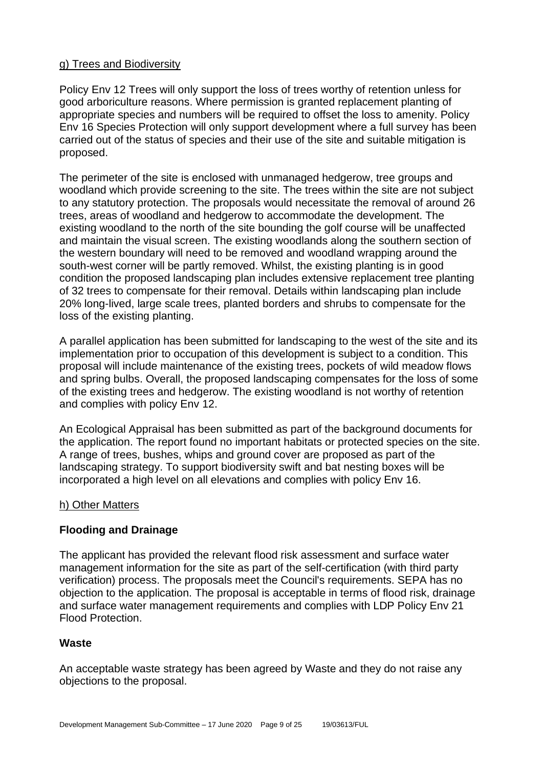# g) Trees and Biodiversity

Policy Env 12 Trees will only support the loss of trees worthy of retention unless for good arboriculture reasons. Where permission is granted replacement planting of appropriate species and numbers will be required to offset the loss to amenity. Policy Env 16 Species Protection will only support development where a full survey has been carried out of the status of species and their use of the site and suitable mitigation is proposed.

The perimeter of the site is enclosed with unmanaged hedgerow, tree groups and woodland which provide screening to the site. The trees within the site are not subject to any statutory protection. The proposals would necessitate the removal of around 26 trees, areas of woodland and hedgerow to accommodate the development. The existing woodland to the north of the site bounding the golf course will be unaffected and maintain the visual screen. The existing woodlands along the southern section of the western boundary will need to be removed and woodland wrapping around the south-west corner will be partly removed. Whilst, the existing planting is in good condition the proposed landscaping plan includes extensive replacement tree planting of 32 trees to compensate for their removal. Details within landscaping plan include 20% long-lived, large scale trees, planted borders and shrubs to compensate for the loss of the existing planting.

A parallel application has been submitted for landscaping to the west of the site and its implementation prior to occupation of this development is subject to a condition. This proposal will include maintenance of the existing trees, pockets of wild meadow flows and spring bulbs. Overall, the proposed landscaping compensates for the loss of some of the existing trees and hedgerow. The existing woodland is not worthy of retention and complies with policy Env 12.

An Ecological Appraisal has been submitted as part of the background documents for the application. The report found no important habitats or protected species on the site. A range of trees, bushes, whips and ground cover are proposed as part of the landscaping strategy. To support biodiversity swift and bat nesting boxes will be incorporated a high level on all elevations and complies with policy Env 16.

#### h) Other Matters

# **Flooding and Drainage**

The applicant has provided the relevant flood risk assessment and surface water management information for the site as part of the self-certification (with third party verification) process. The proposals meet the Council's requirements. SEPA has no objection to the application. The proposal is acceptable in terms of flood risk, drainage and surface water management requirements and complies with LDP Policy Env 21 Flood Protection.

# **Waste**

An acceptable waste strategy has been agreed by Waste and they do not raise any objections to the proposal.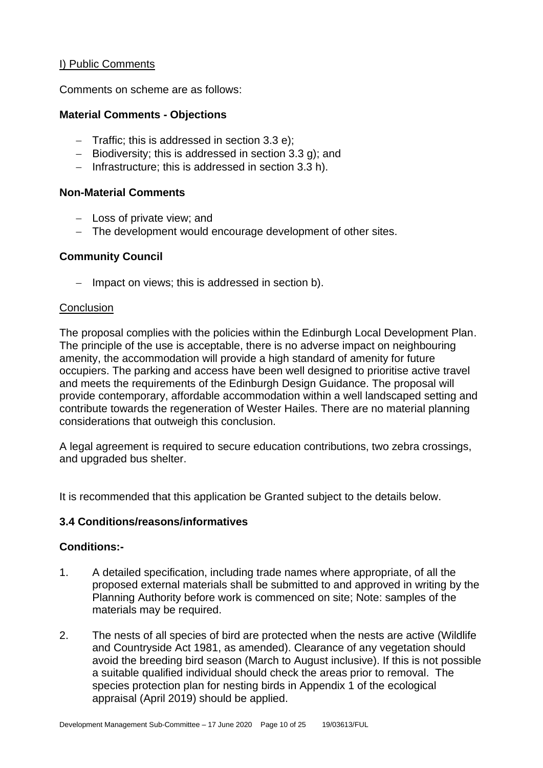# I) Public Comments

Comments on scheme are as follows:

#### **Material Comments - Objections**

- − Traffic; this is addressed in section 3.3 e);
- − Biodiversity; this is addressed in section 3.3 g); and
- − Infrastructure; this is addressed in section 3.3 h).

#### **Non-Material Comments**

- − Loss of private view; and
- − The development would encourage development of other sites.

#### **Community Council**

− Impact on views; this is addressed in section b).

#### **Conclusion**

The proposal complies with the policies within the Edinburgh Local Development Plan. The principle of the use is acceptable, there is no adverse impact on neighbouring amenity, the accommodation will provide a high standard of amenity for future occupiers. The parking and access have been well designed to prioritise active travel and meets the requirements of the Edinburgh Design Guidance. The proposal will provide contemporary, affordable accommodation within a well landscaped setting and contribute towards the regeneration of Wester Hailes. There are no material planning considerations that outweigh this conclusion.

A legal agreement is required to secure education contributions, two zebra crossings, and upgraded bus shelter.

It is recommended that this application be Granted subject to the details below.

# **3.4 Conditions/reasons/informatives**

#### **Conditions:-**

- 1. A detailed specification, including trade names where appropriate, of all the proposed external materials shall be submitted to and approved in writing by the Planning Authority before work is commenced on site; Note: samples of the materials may be required.
- 2. The nests of all species of bird are protected when the nests are active (Wildlife and Countryside Act 1981, as amended). Clearance of any vegetation should avoid the breeding bird season (March to August inclusive). If this is not possible a suitable qualified individual should check the areas prior to removal. The species protection plan for nesting birds in Appendix 1 of the ecological appraisal (April 2019) should be applied.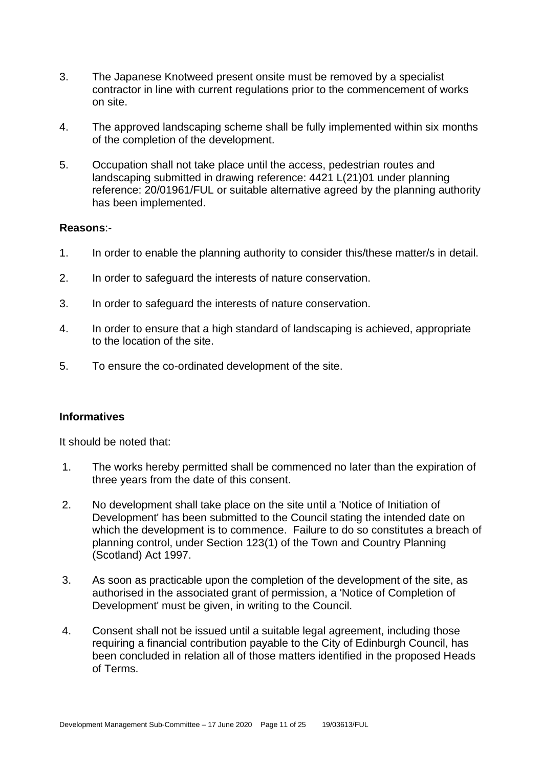- 3. The Japanese Knotweed present onsite must be removed by a specialist contractor in line with current regulations prior to the commencement of works on site.
- 4. The approved landscaping scheme shall be fully implemented within six months of the completion of the development.
- 5. Occupation shall not take place until the access, pedestrian routes and landscaping submitted in drawing reference: 4421 L(21)01 under planning reference: 20/01961/FUL or suitable alternative agreed by the planning authority has been implemented.

#### **Reasons**:-

- 1. In order to enable the planning authority to consider this/these matter/s in detail.
- 2. In order to safeguard the interests of nature conservation.
- 3. In order to safeguard the interests of nature conservation.
- 4. In order to ensure that a high standard of landscaping is achieved, appropriate to the location of the site.
- 5. To ensure the co-ordinated development of the site.

# **Informatives**

It should be noted that:

- 1. The works hereby permitted shall be commenced no later than the expiration of three years from the date of this consent.
- 2. No development shall take place on the site until a 'Notice of Initiation of Development' has been submitted to the Council stating the intended date on which the development is to commence. Failure to do so constitutes a breach of planning control, under Section 123(1) of the Town and Country Planning (Scotland) Act 1997.
- 3. As soon as practicable upon the completion of the development of the site, as authorised in the associated grant of permission, a 'Notice of Completion of Development' must be given, in writing to the Council.
- 4. Consent shall not be issued until a suitable legal agreement, including those requiring a financial contribution payable to the City of Edinburgh Council, has been concluded in relation all of those matters identified in the proposed Heads of Terms.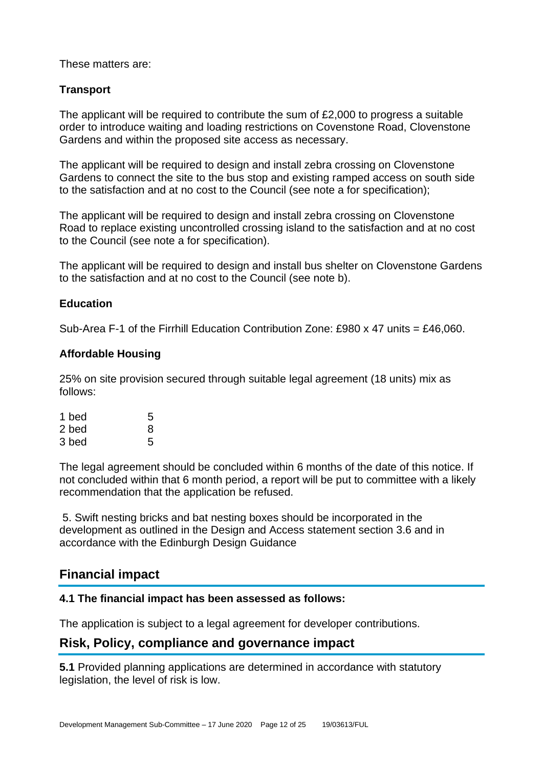#### These matters are:

# **Transport**

The applicant will be required to contribute the sum of £2,000 to progress a suitable order to introduce waiting and loading restrictions on Covenstone Road, Clovenstone Gardens and within the proposed site access as necessary.

The applicant will be required to design and install zebra crossing on Clovenstone Gardens to connect the site to the bus stop and existing ramped access on south side to the satisfaction and at no cost to the Council (see note a for specification);

The applicant will be required to design and install zebra crossing on Clovenstone Road to replace existing uncontrolled crossing island to the satisfaction and at no cost to the Council (see note a for specification).

The applicant will be required to design and install bus shelter on Clovenstone Gardens to the satisfaction and at no cost to the Council (see note b).

#### **Education**

Sub-Area F-1 of the Firrhill Education Contribution Zone: £980 x 47 units = £46,060.

# **Affordable Housing**

25% on site provision secured through suitable legal agreement (18 units) mix as follows:

| 1 bed | 5 |
|-------|---|
| 2 bed | 8 |
| 3 bed | 5 |

The legal agreement should be concluded within 6 months of the date of this notice. If not concluded within that 6 month period, a report will be put to committee with a likely recommendation that the application be refused.

5. Swift nesting bricks and bat nesting boxes should be incorporated in the development as outlined in the Design and Access statement section 3.6 and in accordance with the Edinburgh Design Guidance

# **Financial impact**

#### **4.1 The financial impact has been assessed as follows:**

The application is subject to a legal agreement for developer contributions.

# **Risk, Policy, compliance and governance impact**

**5.1** Provided planning applications are determined in accordance with statutory legislation, the level of risk is low.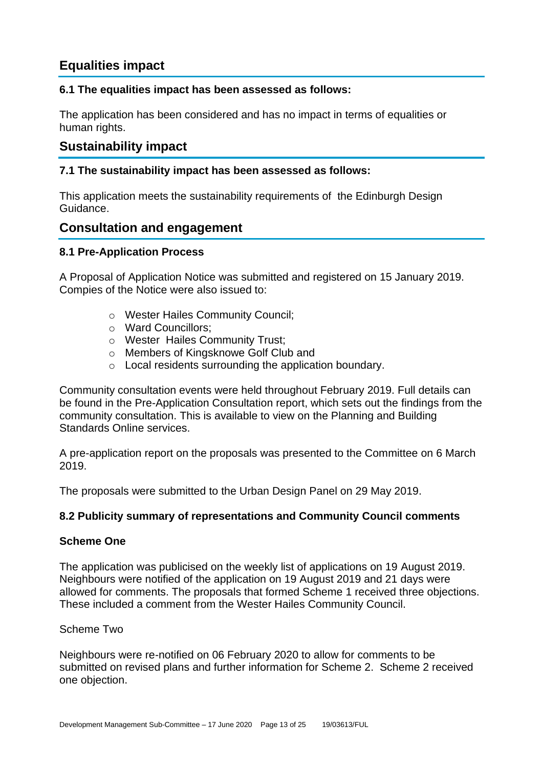# **Equalities impact**

# **6.1 The equalities impact has been assessed as follows:**

The application has been considered and has no impact in terms of equalities or human rights.

# **Sustainability impact**

# **7.1 The sustainability impact has been assessed as follows:**

This application meets the sustainability requirements of the Edinburgh Design Guidance.

# **Consultation and engagement**

# **8.1 Pre-Application Process**

A Proposal of Application Notice was submitted and registered on 15 January 2019. Compies of the Notice were also issued to:

- o Wester Hailes Community Council;
- o Ward Councillors;
- o Wester Hailes Community Trust;
- o Members of Kingsknowe Golf Club and
- o Local residents surrounding the application boundary.

Community consultation events were held throughout February 2019. Full details can be found in the Pre-Application Consultation report, which sets out the findings from the community consultation. This is available to view on the Planning and Building Standards Online services.

A pre-application report on the proposals was presented to the Committee on 6 March 2019.

The proposals were submitted to the Urban Design Panel on 29 May 2019.

# **8.2 Publicity summary of representations and Community Council comments**

# **Scheme One**

The application was publicised on the weekly list of applications on 19 August 2019. Neighbours were notified of the application on 19 August 2019 and 21 days were allowed for comments. The proposals that formed Scheme 1 received three objections. These included a comment from the Wester Hailes Community Council.

# Scheme Two

Neighbours were re-notified on 06 February 2020 to allow for comments to be submitted on revised plans and further information for Scheme 2. Scheme 2 received one objection.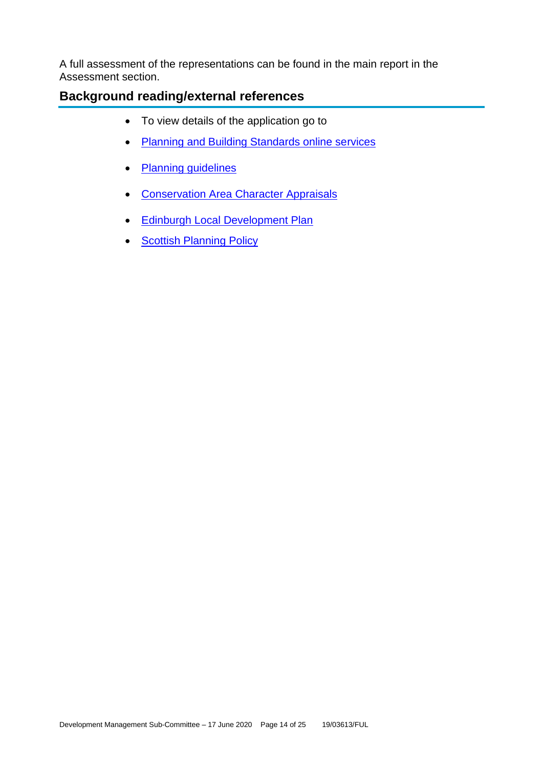A full assessment of the representations can be found in the main report in the Assessment section.

# **Background reading/external references**

- To view details of the application go to
- [Planning and Building Standards online services](https://citydev-portal.edinburgh.gov.uk/idoxpa-web/search.do?action=simple&searchType=Application)
- [Planning guidelines](http://www.edinburgh.gov.uk/planningguidelines)
- [Conservation Area Character Appraisals](http://www.edinburgh.gov.uk/characterappraisals)
- [Edinburgh Local Development Plan](http://www.edinburgh.gov.uk/localdevelopmentplan)
- **[Scottish Planning Policy](http://www.scotland.gov.uk/Topics/Built-Environment/planning/Policy)**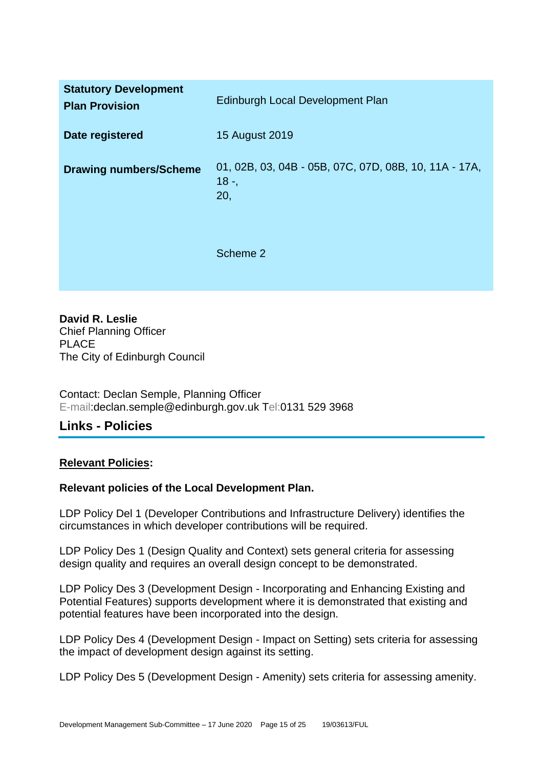| <b>Statutory Development</b><br><b>Plan Provision</b> | Edinburgh Local Development Plan                                       |
|-------------------------------------------------------|------------------------------------------------------------------------|
| Date registered                                       | 15 August 2019                                                         |
| <b>Drawing numbers/Scheme</b>                         | 01, 02B, 03, 04B - 05B, 07C, 07D, 08B, 10, 11A - 17A,<br>$18 -$<br>20, |
|                                                       | Scheme 2                                                               |

**David R. Leslie** Chief Planning Officer PLACE The City of Edinburgh Council

Contact: Declan Semple, Planning Officer E-mail:declan.semple@edinburgh.gov.uk Tel:0131 529 3968

# **Links - Policies**

# **Relevant Policies:**

# **Relevant policies of the Local Development Plan.**

LDP Policy Del 1 (Developer Contributions and Infrastructure Delivery) identifies the circumstances in which developer contributions will be required.

LDP Policy Des 1 (Design Quality and Context) sets general criteria for assessing design quality and requires an overall design concept to be demonstrated.

LDP Policy Des 3 (Development Design - Incorporating and Enhancing Existing and Potential Features) supports development where it is demonstrated that existing and potential features have been incorporated into the design.

LDP Policy Des 4 (Development Design - Impact on Setting) sets criteria for assessing the impact of development design against its setting.

LDP Policy Des 5 (Development Design - Amenity) sets criteria for assessing amenity.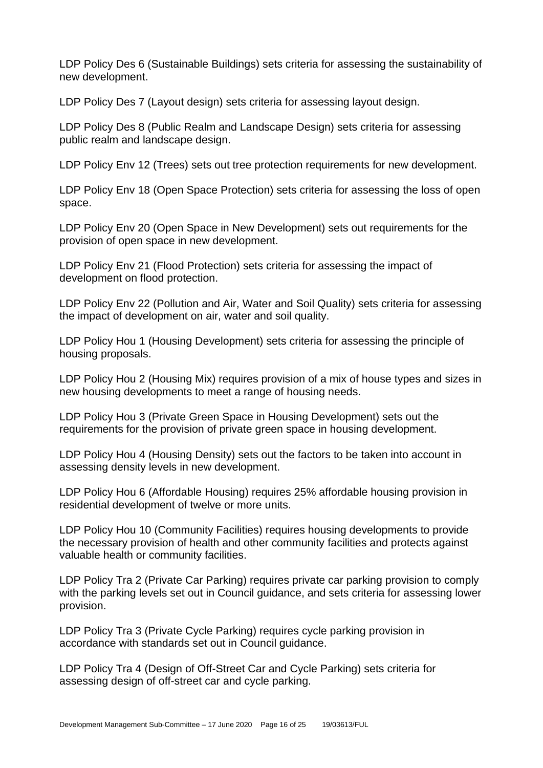LDP Policy Des 6 (Sustainable Buildings) sets criteria for assessing the sustainability of new development.

LDP Policy Des 7 (Layout design) sets criteria for assessing layout design.

LDP Policy Des 8 (Public Realm and Landscape Design) sets criteria for assessing public realm and landscape design.

LDP Policy Env 12 (Trees) sets out tree protection requirements for new development.

LDP Policy Env 18 (Open Space Protection) sets criteria for assessing the loss of open space.

LDP Policy Env 20 (Open Space in New Development) sets out requirements for the provision of open space in new development.

LDP Policy Env 21 (Flood Protection) sets criteria for assessing the impact of development on flood protection.

LDP Policy Env 22 (Pollution and Air, Water and Soil Quality) sets criteria for assessing the impact of development on air, water and soil quality.

LDP Policy Hou 1 (Housing Development) sets criteria for assessing the principle of housing proposals.

LDP Policy Hou 2 (Housing Mix) requires provision of a mix of house types and sizes in new housing developments to meet a range of housing needs.

LDP Policy Hou 3 (Private Green Space in Housing Development) sets out the requirements for the provision of private green space in housing development.

LDP Policy Hou 4 (Housing Density) sets out the factors to be taken into account in assessing density levels in new development.

LDP Policy Hou 6 (Affordable Housing) requires 25% affordable housing provision in residential development of twelve or more units.

LDP Policy Hou 10 (Community Facilities) requires housing developments to provide the necessary provision of health and other community facilities and protects against valuable health or community facilities.

LDP Policy Tra 2 (Private Car Parking) requires private car parking provision to comply with the parking levels set out in Council guidance, and sets criteria for assessing lower provision.

LDP Policy Tra 3 (Private Cycle Parking) requires cycle parking provision in accordance with standards set out in Council guidance.

LDP Policy Tra 4 (Design of Off-Street Car and Cycle Parking) sets criteria for assessing design of off-street car and cycle parking.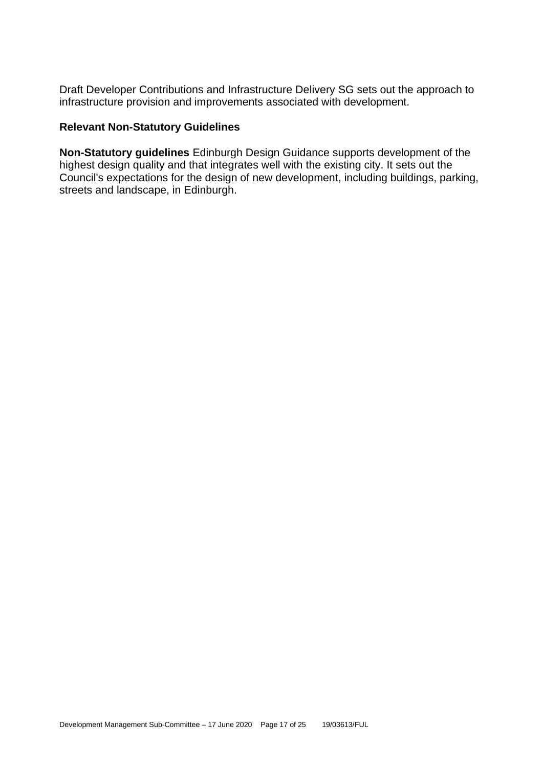Draft Developer Contributions and Infrastructure Delivery SG sets out the approach to infrastructure provision and improvements associated with development.

# **Relevant Non-Statutory Guidelines**

**Non-Statutory guidelines** Edinburgh Design Guidance supports development of the highest design quality and that integrates well with the existing city. It sets out the Council's expectations for the design of new development, including buildings, parking, streets and landscape, in Edinburgh.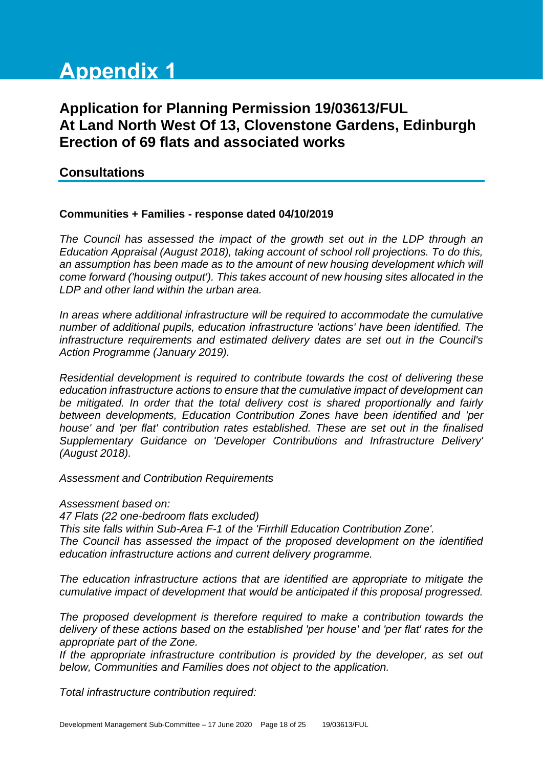# **Appendix 1**

# **Application for Planning Permission 19/03613/FUL At Land North West Of 13, Clovenstone Gardens, Edinburgh Erection of 69 flats and associated works**

# **Consultations**

#### **Communities + Families - response dated 04/10/2019**

*The Council has assessed the impact of the growth set out in the LDP through an Education Appraisal (August 2018), taking account of school roll projections. To do this,*  an assumption has been made as to the amount of new housing development which will *come forward ('housing output'). This takes account of new housing sites allocated in the LDP and other land within the urban area.*

*In areas where additional infrastructure will be required to accommodate the cumulative number of additional pupils, education infrastructure 'actions' have been identified. The infrastructure requirements and estimated delivery dates are set out in the Council's Action Programme (January 2019).*

*Residential development is required to contribute towards the cost of delivering these education infrastructure actions to ensure that the cumulative impact of development can be mitigated. In order that the total delivery cost is shared proportionally and fairly between developments, Education Contribution Zones have been identified and 'per house' and 'per flat' contribution rates established. These are set out in the finalised Supplementary Guidance on 'Developer Contributions and Infrastructure Delivery' (August 2018).* 

*Assessment and Contribution Requirements*

*Assessment based on:*

*47 Flats (22 one-bedroom flats excluded)* 

*This site falls within Sub-Area F-1 of the 'Firrhill Education Contribution Zone'. The Council has assessed the impact of the proposed development on the identified education infrastructure actions and current delivery programme.* 

*The education infrastructure actions that are identified are appropriate to mitigate the cumulative impact of development that would be anticipated if this proposal progressed.* 

*The proposed development is therefore required to make a contribution towards the delivery of these actions based on the established 'per house' and 'per flat' rates for the appropriate part of the Zone.*

*If the appropriate infrastructure contribution is provided by the developer, as set out below, Communities and Families does not object to the application.*

*Total infrastructure contribution required:*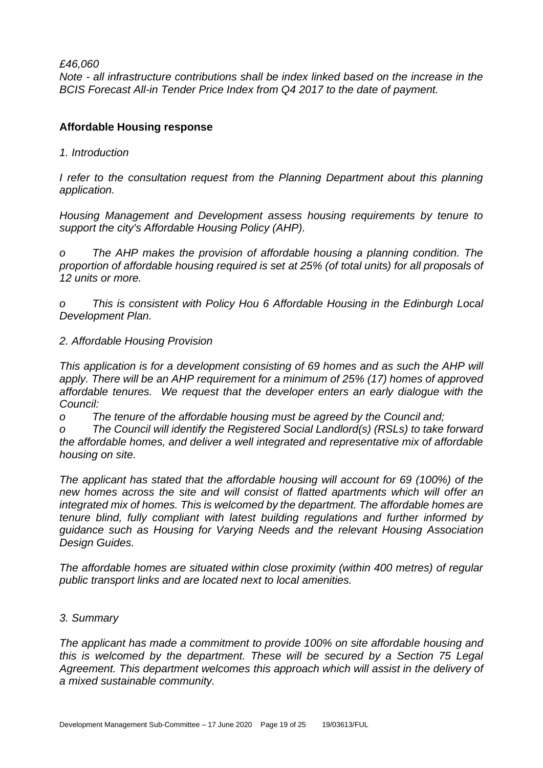*£46,060*

*Note - all infrastructure contributions shall be index linked based on the increase in the BCIS Forecast All-in Tender Price Index from Q4 2017 to the date of payment.* 

# **Affordable Housing response**

*1. Introduction*

*I refer to the consultation request from the Planning Department about this planning application.*

*Housing Management and Development assess housing requirements by tenure to support the city's Affordable Housing Policy (AHP).*

*o The AHP makes the provision of affordable housing a planning condition. The proportion of affordable housing required is set at 25% (of total units) for all proposals of 12 units or more.* 

*o This is consistent with Policy Hou 6 Affordable Housing in the Edinburgh Local Development Plan.* 

*2. Affordable Housing Provision*

*This application is for a development consisting of 69 homes and as such the AHP will apply. There will be an AHP requirement for a minimum of 25% (17) homes of approved affordable tenures. We request that the developer enters an early dialogue with the Council:*

*o The tenure of the affordable housing must be agreed by the Council and;*

*o The Council will identify the Registered Social Landlord(s) (RSLs) to take forward the affordable homes, and deliver a well integrated and representative mix of affordable housing on site.*

*The applicant has stated that the affordable housing will account for 69 (100%) of the new homes across the site and will consist of flatted apartments which will offer an integrated mix of homes. This is welcomed by the department. The affordable homes are tenure blind, fully compliant with latest building regulations and further informed by guidance such as Housing for Varying Needs and the relevant Housing Association Design Guides.* 

*The affordable homes are situated within close proximity (within 400 metres) of regular public transport links and are located next to local amenities.*

# *3. Summary*

*The applicant has made a commitment to provide 100% on site affordable housing and this is welcomed by the department. These will be secured by a Section 75 Legal Agreement. This department welcomes this approach which will assist in the delivery of a mixed sustainable community.*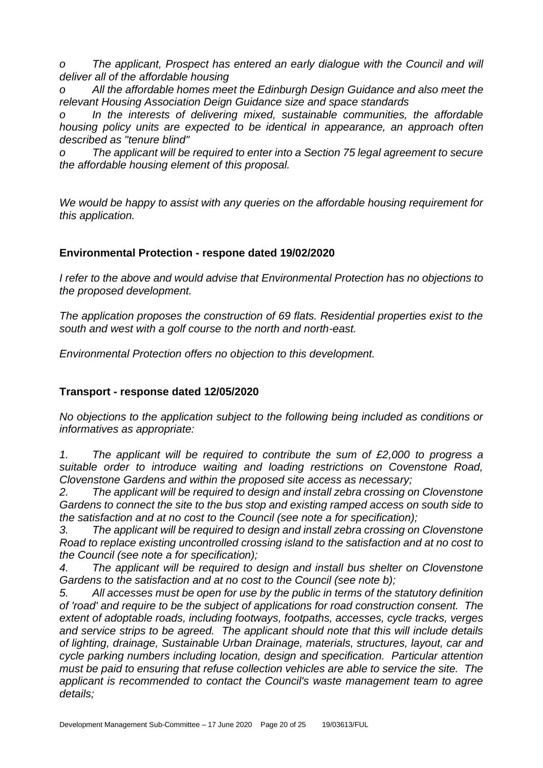*o The applicant, Prospect has entered an early dialogue with the Council and will deliver all of the affordable housing*

All the affordable homes meet the Edinburgh Design Guidance and also meet the *relevant Housing Association Deign Guidance size and space standards* 

*o In the interests of delivering mixed, sustainable communities, the affordable housing policy units are expected to be identical in appearance, an approach often described as "tenure blind"*

*o The applicant will be required to enter into a Section 75 legal agreement to secure the affordable housing element of this proposal.*

*We would be happy to assist with any queries on the affordable housing requirement for this application.* 

# **Environmental Protection - respone dated 19/02/2020**

*I refer to the above and would advise that Environmental Protection has no objections to the proposed development.*

*The application proposes the construction of 69 flats. Residential properties exist to the south and west with a golf course to the north and north-east.* 

*Environmental Protection offers no objection to this development.*

# **Transport - response dated 12/05/2020**

*No objections to the application subject to the following being included as conditions or informatives as appropriate:*

*1. The applicant will be required to contribute the sum of £2,000 to progress a suitable order to introduce waiting and loading restrictions on Covenstone Road, Clovenstone Gardens and within the proposed site access as necessary;*

*2. The applicant will be required to design and install zebra crossing on Clovenstone Gardens to connect the site to the bus stop and existing ramped access on south side to the satisfaction and at no cost to the Council (see note a for specification);*

*3. The applicant will be required to design and install zebra crossing on Clovenstone Road to replace existing uncontrolled crossing island to the satisfaction and at no cost to the Council (see note a for specification);*

*4. The applicant will be required to design and install bus shelter on Clovenstone Gardens to the satisfaction and at no cost to the Council (see note b);*

*5. All accesses must be open for use by the public in terms of the statutory definition of 'road' and require to be the subject of applications for road construction consent. The extent of adoptable roads, including footways, footpaths, accesses, cycle tracks, verges and service strips to be agreed. The applicant should note that this will include details of lighting, drainage, Sustainable Urban Drainage, materials, structures, layout, car and cycle parking numbers including location, design and specification. Particular attention must be paid to ensuring that refuse collection vehicles are able to service the site. The applicant is recommended to contact the Council's waste management team to agree details;*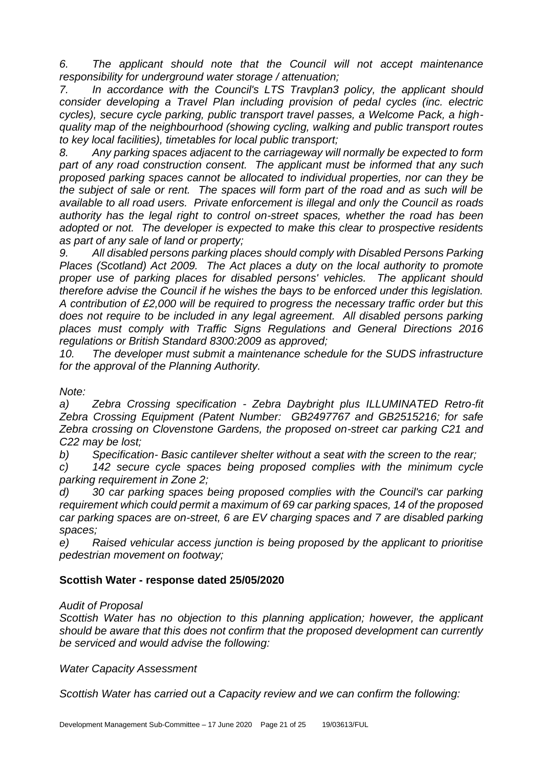*6. The applicant should note that the Council will not accept maintenance responsibility for underground water storage / attenuation;*

*7. In accordance with the Council's LTS Travplan3 policy, the applicant should consider developing a Travel Plan including provision of pedal cycles (inc. electric cycles), secure cycle parking, public transport travel passes, a Welcome Pack, a highquality map of the neighbourhood (showing cycling, walking and public transport routes to key local facilities), timetables for local public transport;*

*8. Any parking spaces adjacent to the carriageway will normally be expected to form*  part of any road construction consent. The applicant must be informed that any such *proposed parking spaces cannot be allocated to individual properties, nor can they be the subject of sale or rent. The spaces will form part of the road and as such will be available to all road users. Private enforcement is illegal and only the Council as roads authority has the legal right to control on-street spaces, whether the road has been adopted or not. The developer is expected to make this clear to prospective residents as part of any sale of land or property;*

*9. All disabled persons parking places should comply with Disabled Persons Parking Places (Scotland) Act 2009. The Act places a duty on the local authority to promote proper use of parking places for disabled persons' vehicles. The applicant should therefore advise the Council if he wishes the bays to be enforced under this legislation. A contribution of £2,000 will be required to progress the necessary traffic order but this*  does not require to be included in any legal agreement. All disabled persons parking *places must comply with Traffic Signs Regulations and General Directions 2016 regulations or British Standard 8300:2009 as approved;*

*10. The developer must submit a maintenance schedule for the SUDS infrastructure for the approval of the Planning Authority.*

*Note:*

*a) Zebra Crossing specification - Zebra Daybright plus ILLUMINATED Retro-fit Zebra Crossing Equipment (Patent Number: GB2497767 and GB2515216; for safe Zebra crossing on Clovenstone Gardens, the proposed on-street car parking C21 and C22 may be lost;*

*b) Specification- Basic cantilever shelter without a seat with the screen to the rear;*

*c) 142 secure cycle spaces being proposed complies with the minimum cycle parking requirement in Zone 2;*

*d) 30 car parking spaces being proposed complies with the Council's car parking requirement which could permit a maximum of 69 car parking spaces, 14 of the proposed car parking spaces are on-street, 6 are EV charging spaces and 7 are disabled parking spaces;*

*e) Raised vehicular access junction is being proposed by the applicant to prioritise pedestrian movement on footway;*

# **Scottish Water - response dated 25/05/2020**

# *Audit of Proposal*

*Scottish Water has no objection to this planning application; however, the applicant should be aware that this does not confirm that the proposed development can currently be serviced and would advise the following:* 

# *Water Capacity Assessment*

*Scottish Water has carried out a Capacity review and we can confirm the following:*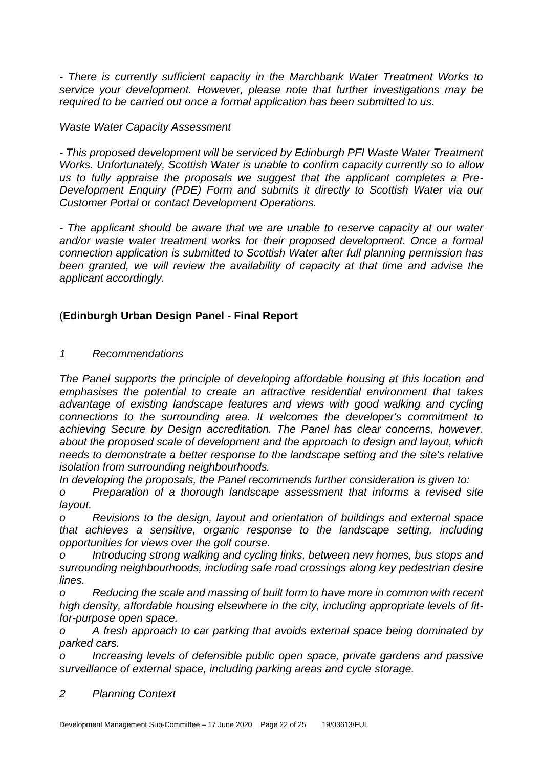*- There is currently sufficient capacity in the Marchbank Water Treatment Works to service your development. However, please note that further investigations may be required to be carried out once a formal application has been submitted to us.* 

*Waste Water Capacity Assessment* 

*- This proposed development will be serviced by Edinburgh PFI Waste Water Treatment Works. Unfortunately, Scottish Water is unable to confirm capacity currently so to allow us to fully appraise the proposals we suggest that the applicant completes a Pre-Development Enquiry (PDE) Form and submits it directly to Scottish Water via our Customer Portal or contact Development Operations.* 

*- The applicant should be aware that we are unable to reserve capacity at our water and/or waste water treatment works for their proposed development. Once a formal connection application is submitted to Scottish Water after full planning permission has been granted, we will review the availability of capacity at that time and advise the applicant accordingly.*

# (**Edinburgh Urban Design Panel - Final Report**

*1 Recommendations*

*The Panel supports the principle of developing affordable housing at this location and emphasises the potential to create an attractive residential environment that takes advantage of existing landscape features and views with good walking and cycling connections to the surrounding area. It welcomes the developer's commitment to achieving Secure by Design accreditation. The Panel has clear concerns, however, about the proposed scale of development and the approach to design and layout, which needs to demonstrate a better response to the landscape setting and the site's relative isolation from surrounding neighbourhoods.*

*In developing the proposals, the Panel recommends further consideration is given to:*

*o Preparation of a thorough landscape assessment that informs a revised site layout.*

*o Revisions to the design, layout and orientation of buildings and external space that achieves a sensitive, organic response to the landscape setting, including opportunities for views over the golf course.*

*o Introducing strong walking and cycling links, between new homes, bus stops and surrounding neighbourhoods, including safe road crossings along key pedestrian desire lines.*

*Reducing the scale and massing of built form to have more in common with recent high density, affordable housing elsewhere in the city, including appropriate levels of fitfor-purpose open space.*

*o A fresh approach to car parking that avoids external space being dominated by parked cars.*

*o Increasing levels of defensible public open space, private gardens and passive surveillance of external space, including parking areas and cycle storage.*

*2 Planning Context*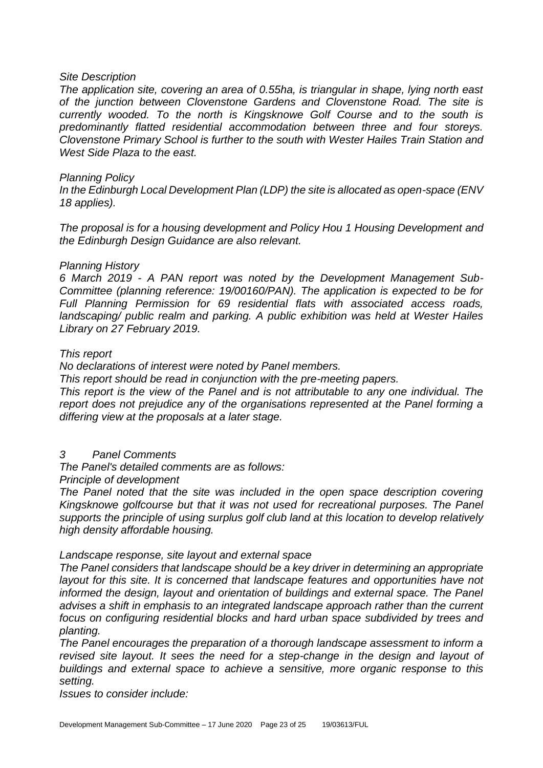#### *Site Description*

*The application site, covering an area of 0.55ha, is triangular in shape, lying north east of the junction between Clovenstone Gardens and Clovenstone Road. The site is currently wooded. To the north is Kingsknowe Golf Course and to the south is predominantly flatted residential accommodation between three and four storeys. Clovenstone Primary School is further to the south with Wester Hailes Train Station and West Side Plaza to the east.*

#### *Planning Policy*

*In the Edinburgh Local Development Plan (LDP) the site is allocated as open-space (ENV 18 applies).*

*The proposal is for a housing development and Policy Hou 1 Housing Development and the Edinburgh Design Guidance are also relevant.*

#### *Planning History*

*6 March 2019 - A PAN report was noted by the Development Management Sub-Committee (planning reference: 19/00160/PAN). The application is expected to be for Full Planning Permission for 69 residential flats with associated access roads, landscaping/ public realm and parking. A public exhibition was held at Wester Hailes Library on 27 February 2019.*

#### *This report*

*No declarations of interest were noted by Panel members.*

*This report should be read in conjunction with the pre-meeting papers.*

*This report is the view of the Panel and is not attributable to any one individual. The report does not prejudice any of the organisations represented at the Panel forming a differing view at the proposals at a later stage.*

# *3 Panel Comments*

*The Panel's detailed comments are as follows:*

*Principle of development*

*The Panel noted that the site was included in the open space description covering Kingsknowe golfcourse but that it was not used for recreational purposes. The Panel supports the principle of using surplus golf club land at this location to develop relatively high density affordable housing.*

#### *Landscape response, site layout and external space*

*The Panel considers that landscape should be a key driver in determining an appropriate layout for this site. It is concerned that landscape features and opportunities have not informed the design, layout and orientation of buildings and external space. The Panel advises a shift in emphasis to an integrated landscape approach rather than the current focus on configuring residential blocks and hard urban space subdivided by trees and planting.*

*The Panel encourages the preparation of a thorough landscape assessment to inform a revised site layout. It sees the need for a step-change in the design and layout of buildings and external space to achieve a sensitive, more organic response to this setting.*

*Issues to consider include:*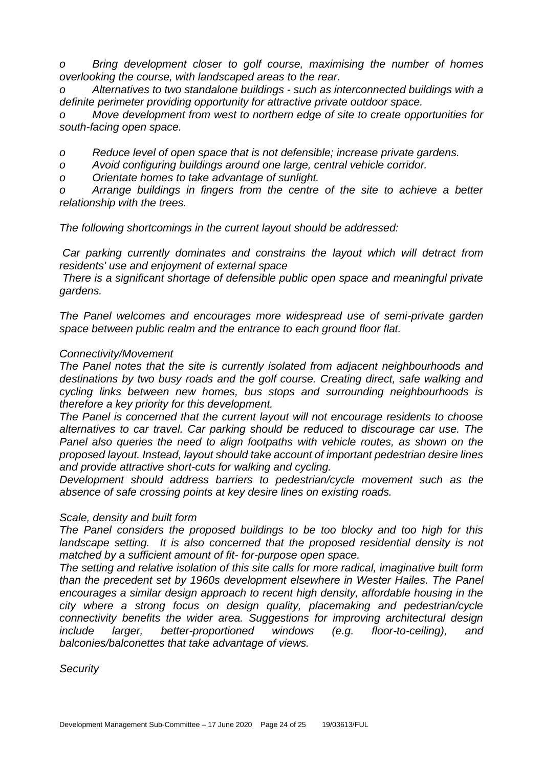*o Bring development closer to golf course, maximising the number of homes overlooking the course, with landscaped areas to the rear.*

*o Alternatives to two standalone buildings - such as interconnected buildings with a definite perimeter providing opportunity for attractive private outdoor space.*

*o Move development from west to northern edge of site to create opportunities for south-facing open space.*

*o Reduce level of open space that is not defensible; increase private gardens.*

*o Avoid configuring buildings around one large, central vehicle corridor.*

*o Orientate homes to take advantage of sunlight.*

*o Arrange buildings in fingers from the centre of the site to achieve a better relationship with the trees.*

*The following shortcomings in the current layout should be addressed:*

*Car parking currently dominates and constrains the layout which will detract from residents' use and enjoyment of external space*

*There is a significant shortage of defensible public open space and meaningful private gardens.*

*The Panel welcomes and encourages more widespread use of semi-private garden space between public realm and the entrance to each ground floor flat.*

#### *Connectivity/Movement*

*The Panel notes that the site is currently isolated from adjacent neighbourhoods and destinations by two busy roads and the golf course. Creating direct, safe walking and cycling links between new homes, bus stops and surrounding neighbourhoods is therefore a key priority for this development.*

*The Panel is concerned that the current layout will not encourage residents to choose alternatives to car travel. Car parking should be reduced to discourage car use. The Panel also queries the need to align footpaths with vehicle routes, as shown on the proposed layout. Instead, layout should take account of important pedestrian desire lines and provide attractive short-cuts for walking and cycling.*

*Development should address barriers to pedestrian/cycle movement such as the absence of safe crossing points at key desire lines on existing roads.*

#### *Scale, density and built form*

*The Panel considers the proposed buildings to be too blocky and too high for this*  landscape setting. It is also concerned that the proposed residential density is not *matched by a sufficient amount of fit- for-purpose open space.*

*The setting and relative isolation of this site calls for more radical, imaginative built form than the precedent set by 1960s development elsewhere in Wester Hailes. The Panel encourages a similar design approach to recent high density, affordable housing in the city where a strong focus on design quality, placemaking and pedestrian/cycle connectivity benefits the wider area. Suggestions for improving architectural design include larger, better-proportioned windows (e.g. floor-to-ceiling), and balconies/balconettes that take advantage of views.*

*Security*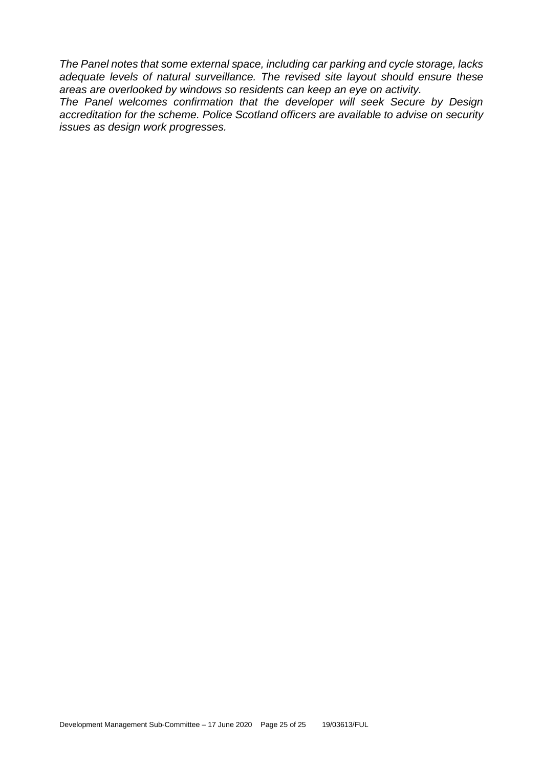*The Panel notes that some external space, including car parking and cycle storage, lacks adequate levels of natural surveillance. The revised site layout should ensure these areas are overlooked by windows so residents can keep an eye on activity.*

*The Panel welcomes confirmation that the developer will seek Secure by Design accreditation for the scheme. Police Scotland officers are available to advise on security issues as design work progresses.*